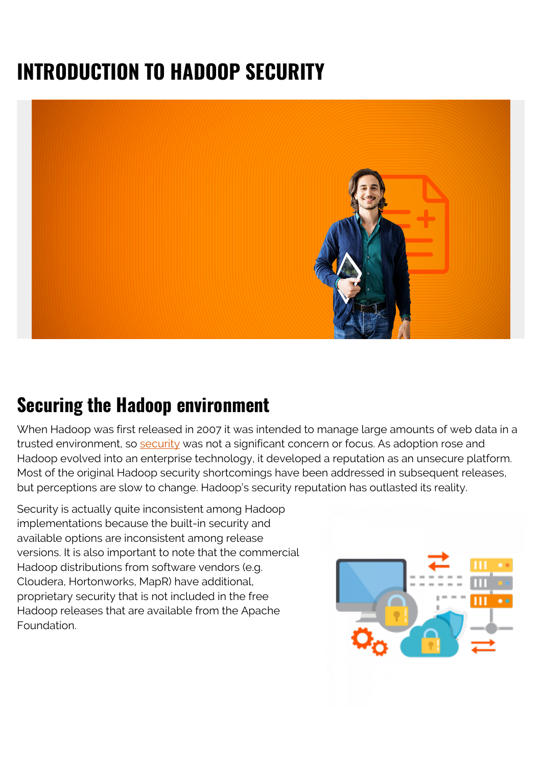# **INTRODUCTION TO HADOOP SECURITY**



#### **Securing the Hadoop environment**

When Hadoop was first released in 2007 it was intended to manage large amounts of web data in a trusted environment, so [security](https://blogs.bmc.com/blogs/security-vulnerability-vs-threat-vs-risk-whats-difference/) was not a significant concern or focus. As adoption rose and Hadoop evolved into an enterprise technology, it developed a reputation as an unsecure platform. Most of the original Hadoop security shortcomings have been addressed in subsequent releases, but perceptions are slow to change. Hadoop's security reputation has outlasted its reality.

Security is actually quite inconsistent among Hadoop implementations because the built-in security and available options are inconsistent among release versions. It is also important to note that the commercial Hadoop distributions from software vendors (e.g. Cloudera, Hortonworks, MapR) have additional, proprietary security that is not included in the free Hadoop releases that are available from the Apache Foundation.

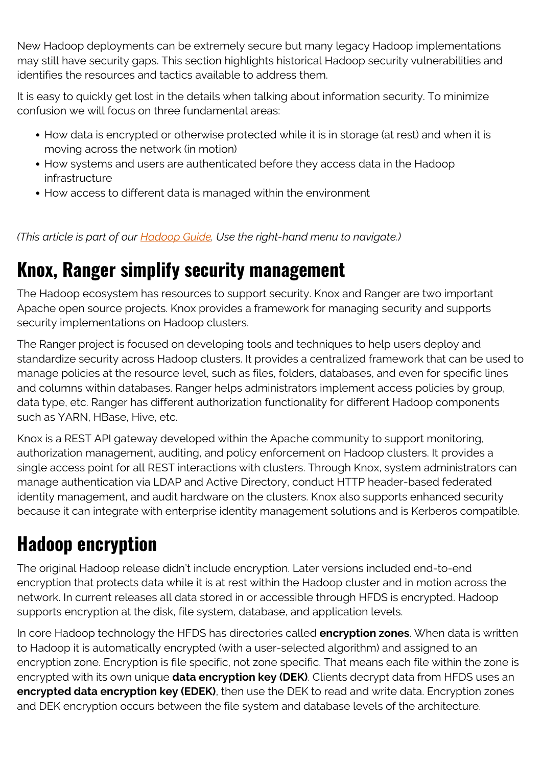New Hadoop deployments can be extremely secure but many legacy Hadoop implementations may still have security gaps. This section highlights historical Hadoop security vulnerabilities and identifies the resources and tactics available to address them.

It is easy to quickly get lost in the details when talking about information security. To minimize confusion we will focus on three fundamental areas:

- How data is encrypted or otherwise protected while it is in storage (at rest) and when it is moving across the network (in motion)
- How systems and users are authenticated before they access data in the Hadoop infrastructure
- How access to different data is managed within the environment

*(This article is part of our [Hadoop Guide](https://blogs.bmc.com/blogs/hadoop-introduction/). Use the right-hand menu to navigate.)*

### **Knox, Ranger simplify security management**

The Hadoop ecosystem has resources to support security. Knox and Ranger are two important Apache open source projects. Knox provides a framework for managing security and supports security implementations on Hadoop clusters.

The Ranger project is focused on developing tools and techniques to help users deploy and standardize security across Hadoop clusters. It provides a centralized framework that can be used to manage policies at the resource level, such as files, folders, databases, and even for specific lines and columns within databases. Ranger helps administrators implement access policies by group, data type, etc. Ranger has different authorization functionality for different Hadoop components such as YARN, HBase, Hive, etc.

Knox is a REST API gateway developed within the Apache community to support monitoring, authorization management, auditing, and policy enforcement on Hadoop clusters. It provides a single access point for all REST interactions with clusters. Through Knox, system administrators can manage authentication via LDAP and Active Directory, conduct HTTP header-based federated identity management, and audit hardware on the clusters. Knox also supports enhanced security because it can integrate with enterprise identity management solutions and is Kerberos compatible.

# **Hadoop encryption**

The original Hadoop release didn't include encryption. Later versions included end-to-end encryption that protects data while it is at rest within the Hadoop cluster and in motion across the network. In current releases all data stored in or accessible through HFDS is encrypted. Hadoop supports encryption at the disk, file system, database, and application levels.

In core Hadoop technology the HFDS has directories called **encryption zones**. When data is written to Hadoop it is automatically encrypted (with a user-selected algorithm) and assigned to an encryption zone. Encryption is file specific, not zone specific. That means each file within the zone is encrypted with its own unique **data encryption key (DEK)**. Clients decrypt data from HFDS uses an **encrypted data encryption key (EDEK)**, then use the DEK to read and write data. Encryption zones and DEK encryption occurs between the file system and database levels of the architecture.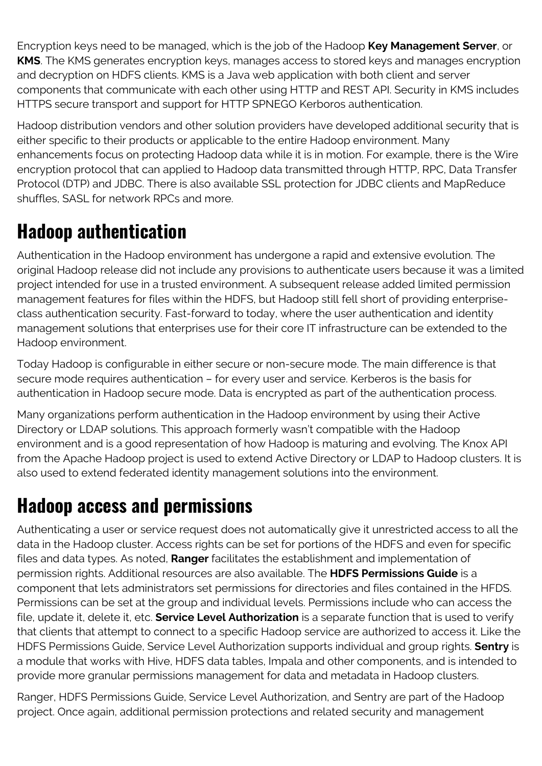Encryption keys need to be managed, which is the job of the Hadoop **Key Management Server**, or **KMS**. The KMS generates encryption keys, manages access to stored keys and manages encryption and decryption on HDFS clients. KMS is a Java web application with both client and server components that communicate with each other using HTTP and REST API. Security in KMS includes HTTPS secure transport and support for HTTP SPNEGO Kerboros authentication.

Hadoop distribution vendors and other solution providers have developed additional security that is either specific to their products or applicable to the entire Hadoop environment. Many enhancements focus on protecting Hadoop data while it is in motion. For example, there is the Wire encryption protocol that can applied to Hadoop data transmitted through HTTP, RPC, Data Transfer Protocol (DTP) and JDBC. There is also available SSL protection for JDBC clients and MapReduce shuffles, SASL for network RPCs and more.

## **Hadoop authentication**

Authentication in the Hadoop environment has undergone a rapid and extensive evolution. The original Hadoop release did not include any provisions to authenticate users because it was a limited project intended for use in a trusted environment. A subsequent release added limited permission management features for files within the HDFS, but Hadoop still fell short of providing enterpriseclass authentication security. Fast-forward to today, where the user authentication and identity management solutions that enterprises use for their core IT infrastructure can be extended to the Hadoop environment.

Today Hadoop is configurable in either secure or non-secure mode. The main difference is that secure mode requires authentication – for every user and service. Kerberos is the basis for authentication in Hadoop secure mode. Data is encrypted as part of the authentication process.

Many organizations perform authentication in the Hadoop environment by using their Active Directory or LDAP solutions. This approach formerly wasn't compatible with the Hadoop environment and is a good representation of how Hadoop is maturing and evolving. The Knox API from the Apache Hadoop project is used to extend Active Directory or LDAP to Hadoop clusters. It is also used to extend federated identity management solutions into the environment.

### **Hadoop access and permissions**

Authenticating a user or service request does not automatically give it unrestricted access to all the data in the Hadoop cluster. Access rights can be set for portions of the HDFS and even for specific files and data types. As noted, **Ranger** facilitates the establishment and implementation of permission rights. Additional resources are also available. The **HDFS Permissions Guide** is a component that lets administrators set permissions for directories and files contained in the HFDS. Permissions can be set at the group and individual levels. Permissions include who can access the file, update it, delete it, etc. **Service Level Authorization** is a separate function that is used to verify that clients that attempt to connect to a specific Hadoop service are authorized to access it. Like the HDFS Permissions Guide, Service Level Authorization supports individual and group rights. **Sentry** is a module that works with Hive, HDFS data tables, Impala and other components, and is intended to provide more granular permissions management for data and metadata in Hadoop clusters.

Ranger, HDFS Permissions Guide, Service Level Authorization, and Sentry are part of the Hadoop project. Once again, additional permission protections and related security and management